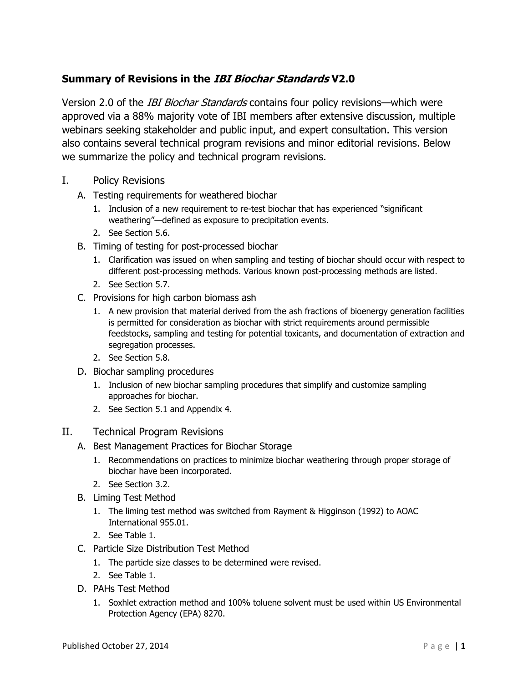## **Summary of Revisions in the IBI Biochar Standards V2.0**

Version 2.0 of the *IBI Biochar Standards* contains four policy revisions—which were approved via a 88% majority vote of IBI members after extensive discussion, multiple webinars seeking stakeholder and public input, and expert consultation. This version also contains several technical program revisions and minor editorial revisions. Below we summarize the policy and technical program revisions.

- I. Policy Revisions
	- A. Testing requirements for weathered biochar
		- 1. Inclusion of a new requirement to re-test biochar that has experienced "significant weathering"—defined as exposure to precipitation events.
		- 2. See Section 5.6.
	- B. Timing of testing for post-processed biochar
		- 1. Clarification was issued on when sampling and testing of biochar should occur with respect to different post-processing methods. Various known post-processing methods are listed.
		- 2. See Section 5.7.
	- C. Provisions for high carbon biomass ash
		- 1. A new provision that material derived from the ash fractions of bioenergy generation facilities is permitted for consideration as biochar with strict requirements around permissible feedstocks, sampling and testing for potential toxicants, and documentation of extraction and segregation processes.
		- 2. See Section 5.8.
	- D. Biochar sampling procedures
		- 1. Inclusion of new biochar sampling procedures that simplify and customize sampling approaches for biochar.
		- 2. See Section 5.1 and Appendix 4.

## II. Technical Program Revisions

- A. Best Management Practices for Biochar Storage
	- 1. Recommendations on practices to minimize biochar weathering through proper storage of biochar have been incorporated.
	- 2. See Section 3.2.
- B. Liming Test Method
	- 1. The liming test method was switched from Rayment & Higginson (1992) to AOAC International 955.01.
	- 2. See Table 1.
- C. Particle Size Distribution Test Method
	- 1. The particle size classes to be determined were revised.
	- 2. See Table 1.
- D. PAHs Test Method
	- 1. Soxhlet extraction method and 100% toluene solvent must be used within US Environmental Protection Agency (EPA) 8270.